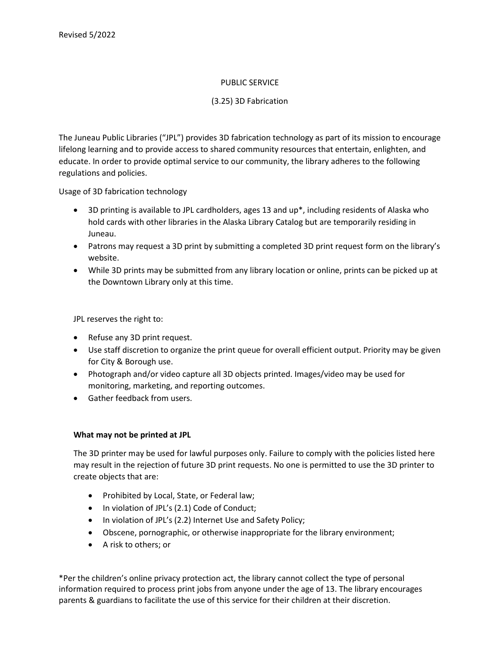## PUBLIC SERVICE

## (3.25) 3D Fabrication

The Juneau Public Libraries ("JPL") provides 3D fabrication technology as part of its mission to encourage lifelong learning and to provide access to shared community resources that entertain, enlighten, and educate. In order to provide optimal service to our community, the library adheres to the following regulations and policies.

Usage of 3D fabrication technology

- 3D printing is available to JPL cardholders, ages 13 and up\*, including residents of Alaska who hold cards with other libraries in the Alaska Library Catalog but are temporarily residing in Juneau.
- Patrons may request a 3D print by submitting a completed 3D print request form on the library's website.
- While 3D prints may be submitted from any library location or online, prints can be picked up at the Downtown Library only at this time.

JPL reserves the right to:

- Refuse any 3D print request.
- Use staff discretion to organize the print queue for overall efficient output. Priority may be given for City & Borough use.
- Photograph and/or video capture all 3D objects printed. Images/video may be used for monitoring, marketing, and reporting outcomes.
- Gather feedback from users.

## **What may not be printed at JPL**

The 3D printer may be used for lawful purposes only. Failure to comply with the policies listed here may result in the rejection of future 3D print requests. No one is permitted to use the 3D printer to create objects that are:

- Prohibited by Local, State, or Federal law;
- In violation of JPL's (2.1) Code of Conduct;
- In violation of JPL's (2.2) Internet Use and Safety Policy;
- Obscene, pornographic, or otherwise inappropriate for the library environment;
- A risk to others; or

\*Per the children's online privacy protection act, the library cannot collect the type of personal information required to process print jobs from anyone under the age of 13. The library encourages parents & guardians to facilitate the use of this service for their children at their discretion.